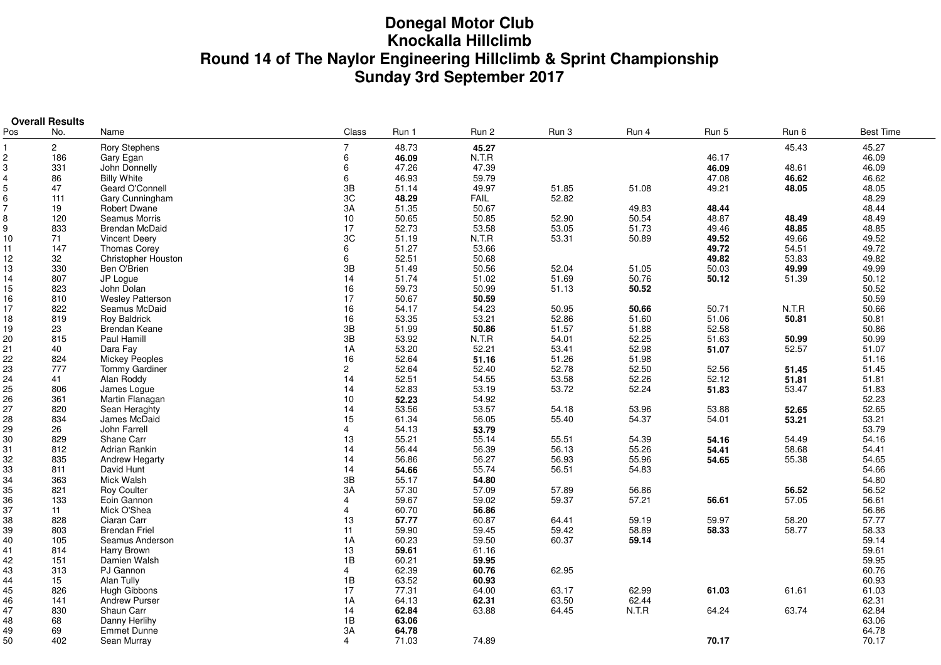# **Donegal Motor Club Knockalla HillclimbRound 14 of The Naylor Engineering Hillclimb & Sprint Championship Sunday 3rd September 2017**

#### **Overall Results**

| Pos            | No.          | Name                     | Class          | Run 1 | Run 2       | Run 3 | Run 4 | Run 5 | Run 6 | Best Time |
|----------------|--------------|--------------------------|----------------|-------|-------------|-------|-------|-------|-------|-----------|
|                | $\mathbf{2}$ | Rory Stephens            | $\overline{7}$ | 48.73 | 45.27       |       |       |       | 45.43 | 45.27     |
| $\overline{c}$ | 186          | Gary Egan                | 6              | 46.09 | N.T.R       |       |       | 46.17 |       | 46.09     |
| 3              | 331          | John Donnelly            | 6              | 47.26 | 47.39       |       |       | 46.09 | 48.61 | 46.09     |
| $\overline{4}$ | 86           | <b>Billy White</b>       | $\,6\,$        | 46.93 | 59.79       |       |       | 47.08 | 46.62 | 46.62     |
| 5              | 47           | Geard O'Connell          | 3B             | 51.14 | 49.97       | 51.85 | 51.08 | 49.21 | 48.05 | 48.05     |
| 6              | 111          | Gary Cunningham          | 3C             | 48.29 | <b>FAIL</b> | 52.82 |       |       |       | 48.29     |
| $\overline{7}$ | 19           |                          | 3A             |       |             |       |       |       |       | 48.44     |
|                |              | Robert Dwane             |                | 51.35 | 50.67       |       | 49.83 | 48.44 |       |           |
| 8              | 120          | <b>Seamus Morris</b>     | 10             | 50.65 | 50.85       | 52.90 | 50.54 | 48.87 | 48.49 | 48.49     |
| 9              | 833          | <b>Brendan McDaid</b>    | 17             | 52.73 | 53.58       | 53.05 | 51.73 | 49.46 | 48.85 | 48.85     |
| 10             | 71           | <b>Vincent Deery</b>     | 3C             | 51.19 | N.T.R       | 53.31 | 50.89 | 49.52 | 49.66 | 49.52     |
| 11             | 147          | Thomas Corey             | 6              | 51.27 | 53.66       |       |       | 49.72 | 54.51 | 49.72     |
| 12             | 32           | Christopher Houston      | $\,6\,$        | 52.51 | 50.68       |       |       | 49.82 | 53.83 | 49.82     |
| 13             | 330          | Ben O'Brien              | 3B             | 51.49 | 50.56       | 52.04 | 51.05 | 50.03 | 49.99 | 49.99     |
| 14             | 807          | JP Logue                 | 14             | 51.74 | 51.02       | 51.69 | 50.76 | 50.12 | 51.39 | 50.12     |
| 15             | 823          | John Dolan               | 16             | 59.73 | 50.99       | 51.13 | 50.52 |       |       | 50.52     |
| 16             | 810          | <b>Wesley Patterson</b>  | 17             | 50.67 | 50.59       |       |       |       |       | 50.59     |
| 17             | 822          | Seamus McDaid            | 16             | 54.17 | 54.23       | 50.95 | 50.66 | 50.71 | N.T.R | 50.66     |
| 18             | 819          | <b>Roy Baldrick</b>      | 16             | 53.35 | 53.21       | 52.86 | 51.60 | 51.06 | 50.81 | 50.81     |
| 19             | 23           | Brendan Keane            | 3B             | 51.99 | 50.86       | 51.57 | 51.88 | 52.58 |       | 50.86     |
| 20             | 815          | Paul Hamill              | 3B             | 53.92 | N.T.R       | 54.01 | 52.25 | 51.63 | 50.99 | 50.99     |
| 21             | 40           | Dara Fay                 | 1A             | 53.20 | 52.21       | 53.41 | 52.98 | 51.07 | 52.57 | 51.07     |
| 22             | 824          | <b>Mickey Peoples</b>    | 16             | 52.64 | 51.16       | 51.26 | 51.98 |       |       | 51.16     |
| 23             | 777          | Tommy Gardiner           | $\overline{c}$ | 52.64 | 52.40       | 52.78 | 52.50 | 52.56 | 51.45 | 51.45     |
| 24             | 41           | Alan Roddy               | 14             | 52.51 | 54.55       | 53.58 | 52.26 | 52.12 | 51.81 | 51.81     |
| 25             | 806          | James Logue              | 14             | 52.83 | 53.19       | 53.72 | 52.24 | 51.83 | 53.47 | 51.83     |
| 26             | 361          | Martin Flanagan          | 10             | 52.23 | 54.92       |       |       |       |       | 52.23     |
| 27             | 820          | Sean Heraghty            | 14             | 53.56 | 53.57       | 54.18 | 53.96 | 53.88 | 52.65 | 52.65     |
| 28             | 834          | James McDaid             | 15             | 61.34 | 56.05       | 55.40 | 54.37 | 54.01 | 53.21 | 53.21     |
| 29             | 26           | John Farrell             | $\overline{4}$ | 54.13 | 53.79       |       |       |       |       | 53.79     |
| 30             | 829          | Shane Carr               | 13             | 55.21 | 55.14       | 55.51 | 54.39 | 54.16 | 54.49 | 54.16     |
| 31             | 812          | Adrian Rankin            | 14             | 56.44 | 56.39       | 56.13 | 55.26 | 54.41 | 58.68 | 54.41     |
|                | 835          |                          | 14             | 56.86 | 56.27       | 56.93 | 55.96 |       | 55.38 | 54.65     |
| 32             |              | <b>Andrew Hegarty</b>    |                |       |             |       |       | 54.65 |       | 54.66     |
| 33             | 811          | David Hunt<br>Mick Walsh | 14<br>3B       | 54.66 | 55.74       | 56.51 | 54.83 |       |       |           |
| 34             | 363          |                          |                | 55.17 | 54.80       |       |       |       |       | 54.80     |
| 35             | 821          | <b>Roy Coulter</b>       | 3A             | 57.30 | 57.09       | 57.89 | 56.86 |       | 56.52 | 56.52     |
| 36             | 133          | Eoin Gannon              | $\overline{4}$ | 59.67 | 59.02       | 59.37 | 57.21 | 56.61 | 57.05 | 56.61     |
| 37             | 11           | Mick O'Shea              | $\overline{4}$ | 60.70 | 56.86       |       |       |       |       | 56.86     |
| 38             | 828          | Ciaran Carr              | 13             | 57.77 | 60.87       | 64.41 | 59.19 | 59.97 | 58.20 | 57.77     |
| 39             | 803          | <b>Brendan Friel</b>     | 11             | 59.90 | 59.45       | 59.42 | 58.89 | 58.33 | 58.77 | 58.33     |
| 40             | 105          | Seamus Anderson          | 1A             | 60.23 | 59.50       | 60.37 | 59.14 |       |       | 59.14     |
| 41             | 814          | Harry Brown              | 13             | 59.61 | 61.16       |       |       |       |       | 59.61     |
| 42             | 151          | Damien Walsh             | 1B             | 60.21 | 59.95       |       |       |       |       | 59.95     |
| 43             | 313          | PJ Gannon                | $\overline{4}$ | 62.39 | 60.76       | 62.95 |       |       |       | 60.76     |
| 44             | 15           | Alan Tully               | 1B             | 63.52 | 60.93       |       |       |       |       | 60.93     |
| 45             | 826          | Hugh Gibbons             | 17             | 77.31 | 64.00       | 63.17 | 62.99 | 61.03 | 61.61 | 61.03     |
| 46             | 141          | <b>Andrew Purser</b>     | 1A             | 64.13 | 62.31       | 63.50 | 62.44 |       |       | 62.31     |
| 47             | 830          | Shaun Carr               | 14             | 62.84 | 63.88       | 64.45 | N.T.R | 64.24 | 63.74 | 62.84     |
| 48             | 68           | Danny Herlihy            | 1B             | 63.06 |             |       |       |       |       | 63.06     |
| 49             | 69           | <b>Emmet Dunne</b>       | 3A             | 64.78 |             |       |       |       |       | 64.78     |
| 50             | 402          | Sean Murray              | $\overline{4}$ | 71.03 | 74.89       |       |       | 70.17 |       | 70.17     |
|                |              |                          |                |       |             |       |       |       |       |           |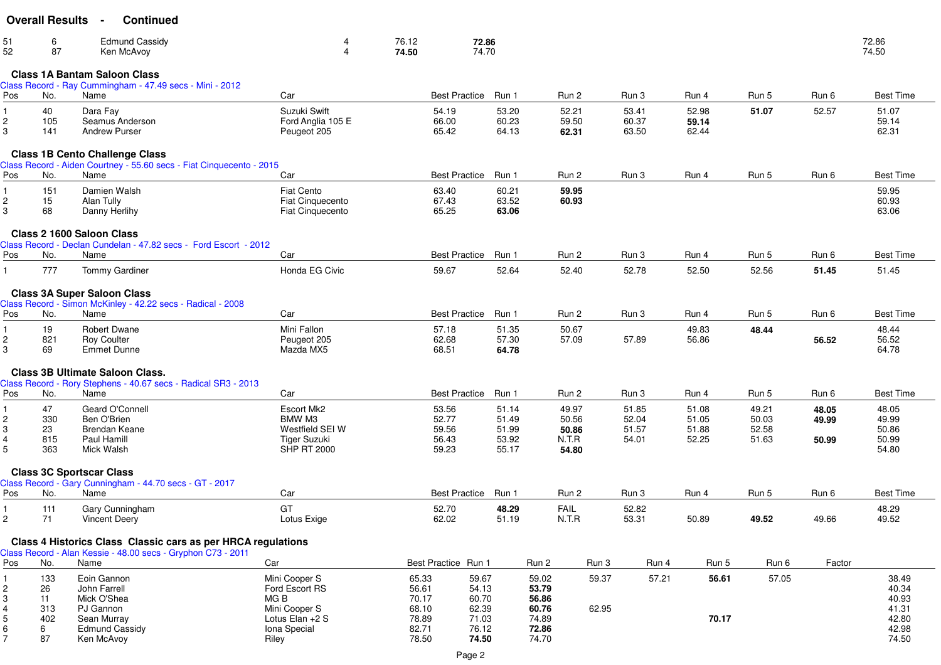|                                     | <b>Overall Results</b>        | Continued<br>$\blacksquare$                                                  |                                                                                      |                |                                           |                                           |                                           |                                  |                                  |                                  |                         |                                           |
|-------------------------------------|-------------------------------|------------------------------------------------------------------------------|--------------------------------------------------------------------------------------|----------------|-------------------------------------------|-------------------------------------------|-------------------------------------------|----------------------------------|----------------------------------|----------------------------------|-------------------------|-------------------------------------------|
| 51<br>52                            | 6<br>87                       | <b>Edmund Cassidy</b><br>Ken McAvoy                                          | 4<br>$\overline{4}$                                                                  | 76.12<br>74.50 | 72.86<br>74.70                            |                                           |                                           |                                  |                                  |                                  |                         | 72.86<br>74.50                            |
|                                     |                               | <b>Class 1A Bantam Saloon Class</b>                                          |                                                                                      |                |                                           |                                           |                                           |                                  |                                  |                                  |                         |                                           |
| Pos                                 | No.                           | Class Record - Ray Cummingham - 47.49 secs - Mini - 2012<br>Name             | Car                                                                                  |                | <b>Best Practice</b>                      | Run 1                                     | Run 2                                     | Run 3                            | Run 4                            | Run 5                            | Run 6                   | <b>Best Time</b>                          |
| 1<br>$\overline{c}$<br>3            | 40<br>105<br>141              | Dara Fay<br>Seamus Anderson<br><b>Andrew Purser</b>                          | Suzuki Swift<br>Ford Anglia 105 E<br>Peugeot 205                                     |                | 54.19<br>66.00<br>65.42                   | 53.20<br>60.23<br>64.13                   | 52.21<br>59.50<br>62.31                   | 53.41<br>60.37<br>63.50          | 52.98<br>59.14<br>62.44          | 51.07                            | 52.57                   | 51.07<br>59.14<br>62.31                   |
|                                     |                               | <b>Class 1B Cento Challenge Class</b>                                        |                                                                                      |                |                                           |                                           |                                           |                                  |                                  |                                  |                         |                                           |
| Pos                                 | No.                           | Class Record - Aiden Courtney - 55.60 secs - Fiat Cinquecento - 2015<br>Name | Car                                                                                  |                | <b>Best Practice</b>                      | Run 1                                     | Run 2                                     | Run 3                            | Run 4                            | Run 5                            | Run 6                   | <b>Best Time</b>                          |
| $\mathbf{1}$<br>$\overline{c}$<br>3 | 151<br>15<br>68               | Damien Walsh<br>Alan Tully<br>Danny Herlihy                                  | Fiat Cento<br>Fiat Cinquecento<br><b>Fiat Cinquecento</b>                            |                | 63.40<br>67.43<br>65.25                   | 60.21<br>63.52<br>63.06                   | 59.95<br>60.93                            |                                  |                                  |                                  |                         | 59.95<br>60.93<br>63.06                   |
|                                     |                               | <b>Class 2 1600 Saloon Class</b>                                             |                                                                                      |                |                                           |                                           |                                           |                                  |                                  |                                  |                         |                                           |
| Pos                                 | No.                           | Class Record - Declan Cundelan - 47.82 secs - Ford Escort - 2012<br>Name     | Car                                                                                  |                | <b>Best Practice</b>                      | Run 1                                     | Run 2                                     | Run 3                            | Run 4                            | Run 5                            | Run 6                   | <b>Best Time</b>                          |
| $\mathbf 1$                         | 777                           | Tommy Gardiner                                                               | Honda EG Civic                                                                       |                | 59.67                                     | 52.64                                     | 52.40                                     | 52.78                            | 52.50                            | 52.56                            | 51.45                   | 51.45                                     |
|                                     |                               | <b>Class 3A Super Saloon Class</b>                                           |                                                                                      |                |                                           |                                           |                                           |                                  |                                  |                                  |                         |                                           |
|                                     |                               | Class Record - Simon McKinley - 42.22 secs - Radical - 2008                  |                                                                                      |                |                                           |                                           |                                           |                                  |                                  |                                  |                         |                                           |
| Pos                                 | No.                           | Name                                                                         | Car                                                                                  |                | <b>Best Practice</b>                      | Run 1                                     | Run 2                                     | Run 3                            | Run 4                            | Run 5                            | Run 6                   | <b>Best Time</b>                          |
| $\mathbf{2}$<br>3                   | 19<br>821<br>69               | <b>Robert Dwane</b><br><b>Roy Coulter</b><br><b>Emmet Dunne</b>              | Mini Fallon<br>Peugeot 205<br>Mazda MX5                                              |                | 57.18<br>62.68<br>68.51                   | 51.35<br>57.30<br>64.78                   | 50.67<br>57.09                            | 57.89                            | 49.83<br>56.86                   | 48.44                            | 56.52                   | 48.44<br>56.52<br>64.78                   |
|                                     |                               | <b>Class 3B Ultimate Saloon Class.</b>                                       |                                                                                      |                |                                           |                                           |                                           |                                  |                                  |                                  |                         |                                           |
|                                     |                               | Class Record - Rory Stephens - 40.67 secs - Radical SR3 - 2013               |                                                                                      |                |                                           |                                           |                                           |                                  |                                  |                                  |                         |                                           |
| Pos                                 | No.                           | Name                                                                         | Car                                                                                  |                | <b>Best Practice</b>                      | Run 1                                     | Run 2                                     | Run 3                            | Run 4                            | Run 5                            | Run 6                   | <b>Best Time</b>                          |
| 2<br>3<br>4<br>5                    | 47<br>330<br>23<br>815<br>363 | Geard O'Connell<br>Ben O'Brien<br>Brendan Keane<br>Paul Hamill<br>Mick Walsh | Escort Mk2<br>BMW M3<br>Westfield SEI W<br><b>Tiger Suzuki</b><br><b>SHP RT 2000</b> |                | 53.56<br>52.77<br>59.56<br>56.43<br>59.23 | 51.14<br>51.49<br>51.99<br>53.92<br>55.17 | 49.97<br>50.56<br>50.86<br>N.T.R<br>54.80 | 51.85<br>52.04<br>51.57<br>54.01 | 51.08<br>51.05<br>51.88<br>52.25 | 49.21<br>50.03<br>52.58<br>51.63 | 48.05<br>49.99<br>50.99 | 48.05<br>49.99<br>50.86<br>50.99<br>54.80 |

# **Class 3C Sportscar Class**

|     |     | Class Record - Gary Cunningham - 44.70 secs - GT - 2017 |             |                     |                |                      |                |       |       |       |                  |
|-----|-----|---------------------------------------------------------|-------------|---------------------|----------------|----------------------|----------------|-------|-------|-------|------------------|
| Pos | No. | Name                                                    | Uа          | Best Practice Run 1 |                | Run 2                | Run,           | Run 4 | Run 5 | Run 6 | <b>Best Time</b> |
|     |     | Gary Cunningham<br><b>Vincent Deery</b>                 | Lotus Exige | 52.70<br>62.02      | 48.29<br>51.19 | <b>FAIL</b><br>N.T.R | 52.82<br>53.31 | 50.89 | 49.52 | 49.66 | 48.29<br>49.52   |

# **Class 4 Historics Class Classic cars as per HRCA regulations**

|     |     | Class Record - Alan Kessie - 48.00 secs - Gryphon C73 - 2011 |                   |                     |       |       |       |       |       |       |        |       |
|-----|-----|--------------------------------------------------------------|-------------------|---------------------|-------|-------|-------|-------|-------|-------|--------|-------|
| Pos | No. | Name                                                         | Car               | Best Practice Run 1 |       | Run 2 | Run 3 | Run 4 | Run 5 | Run 6 | Factor |       |
|     | 133 | Eoin Gannon                                                  | Mini Cooper S     | 65.33               | 59.67 | 59.02 | 59.37 | 57.21 | 56.61 | 57.05 |        | 38.49 |
|     | 26  | John Farrell                                                 | Ford Escort RS    | 56.61               | 54.13 | 53.79 |       |       |       |       |        | 40.34 |
|     |     | Mick O'Shea                                                  | MG B              | 70.17               | 60.70 | 56.86 |       |       |       |       |        | 40.93 |
|     | 313 | PJ Gannon                                                    | Mini Cooper S     | 68.10               | 62.39 | 60.76 | 62.95 |       |       |       |        | 41.31 |
|     | 402 | Sean Murray                                                  | Lotus Elan $+2$ S | 78.89               | 71.03 | 74.89 |       |       | 70.17 |       |        | 42.80 |
|     |     | <b>Edmund Cassidy</b>                                        | Iona Special      | 82.71               | 76.12 | 72.86 |       |       |       |       |        | 42.98 |
|     | 87  | Ken McAvoy                                                   | Riley             | 78.50               | 74.50 | 74.70 |       |       |       |       |        | 74.50 |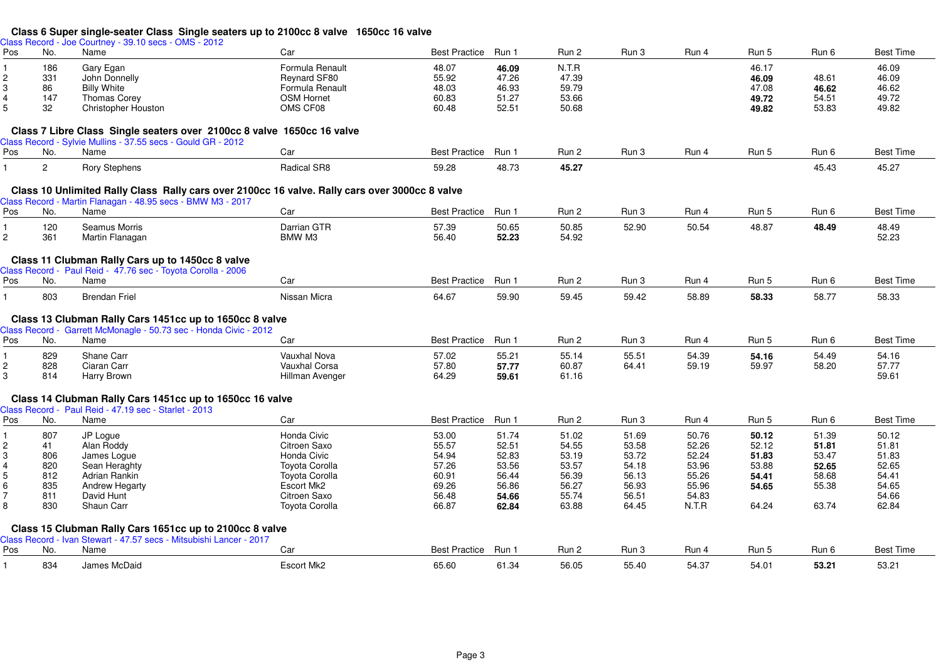#### **Class 6 Super single-seater Class Single seaters up to 2100cc 8 valve 1650cc 16 valve**

| Class Record - Joe Courtney - 39.10 secs - OMS - 2012 |  |  |
|-------------------------------------------------------|--|--|

| Pos<br>1.<br>$\overline{c}$<br>3 | No.            |                                                                                                |                       |                      |       |       |       |       |       |       |                  |
|----------------------------------|----------------|------------------------------------------------------------------------------------------------|-----------------------|----------------------|-------|-------|-------|-------|-------|-------|------------------|
|                                  |                | <b>OUTHER</b> - 09.10 SECS - OIVIO - 2012<br>Name                                              | Car                   | <b>Best Practice</b> | Run 1 | Run 2 | Run 3 | Run 4 | Run 5 | Run 6 | <b>Best Time</b> |
|                                  | 186            | Gary Egan                                                                                      | Formula Renault       | 48.07                | 46.09 | N.T.R |       |       | 46.17 |       | 46.09            |
|                                  |                |                                                                                                |                       |                      |       |       |       |       |       |       |                  |
|                                  | 331            | John Donnelly                                                                                  | Reynard SF80          | 55.92                | 47.26 | 47.39 |       |       | 46.09 | 48.61 | 46.09            |
|                                  | 86             | <b>Billy White</b>                                                                             | Formula Renault       | 48.03                | 46.93 | 59.79 |       |       | 47.08 | 46.62 | 46.62            |
| 4                                | 147            | <b>Thomas Corey</b>                                                                            | <b>OSM Hornet</b>     | 60.83                | 51.27 | 53.66 |       |       | 49.72 | 54.51 | 49.72            |
| 5                                | 32             | <b>Christopher Houston</b>                                                                     | OMS CF08              | 60.48                | 52.51 | 50.68 |       |       | 49.82 | 53.83 | 49.82            |
|                                  |                |                                                                                                |                       |                      |       |       |       |       |       |       |                  |
|                                  |                | Class 7 Libre Class Single seaters over 2100cc 8 valve 1650cc 16 valve                         |                       |                      |       |       |       |       |       |       |                  |
|                                  |                | Class Record - Sylvie Mullins - 37.55 secs - Gould GR - 2012                                   |                       |                      |       |       |       |       |       |       |                  |
| Pos                              | No.            | Name                                                                                           | Car                   | <b>Best Practice</b> | Run 1 | Run 2 | Run 3 | Run 4 | Run 5 | Run 6 | <b>Best Time</b> |
| $1 \cdot$                        | $\overline{2}$ | <b>Rory Stephens</b>                                                                           | Radical SR8           | 59.28                | 48.73 | 45.27 |       |       |       | 45.43 | 45.27            |
|                                  |                | Class 10 Unlimited Rally Class Rally cars over 2100cc 16 valve. Rally cars over 3000cc 8 valve |                       |                      |       |       |       |       |       |       |                  |
|                                  |                | Class Record - Martin Flanagan - 48.95 secs - BMW M3 - 2017                                    |                       |                      |       |       |       |       |       |       |                  |
| Pos                              | No.            | Name                                                                                           | Car                   | <b>Best Practice</b> | Run 1 | Run 2 | Run 3 | Run 4 | Run 5 | Run 6 | <b>Best Time</b> |
|                                  | 120            | Seamus Morris                                                                                  | Darrian GTR           | 57.39                | 50.65 | 50.85 | 52.90 | 50.54 | 48.87 | 48.49 | 48.49            |
| $\mathbf{2}$                     | 361            | Martin Flanagan                                                                                | BMW M3                | 56.40                | 52.23 | 54.92 |       |       |       |       | 52.23            |
|                                  |                |                                                                                                |                       |                      |       |       |       |       |       |       |                  |
|                                  |                | Class 11 Clubman Rally Cars up to 1450cc 8 valve                                               |                       |                      |       |       |       |       |       |       |                  |
|                                  |                | Class Record - Paul Reid - 47.76 sec - Toyota Corolla - 2006                                   |                       |                      |       |       |       |       |       |       |                  |
| Pos                              | No.            | Name                                                                                           | Car                   | <b>Best Practice</b> | Run 1 | Run 2 | Run 3 | Run 4 | Run 5 | Run 6 | <b>Best Time</b> |
| 1.                               | 803            | <b>Brendan Friel</b>                                                                           | Nissan Micra          | 64.67                | 59.90 | 59.45 | 59.42 | 58.89 | 58.33 | 58.77 | 58.33            |
|                                  |                |                                                                                                |                       |                      |       |       |       |       |       |       |                  |
|                                  |                | Class 13 Clubman Rally Cars 1451cc up to 1650cc 8 valve                                        |                       |                      |       |       |       |       |       |       |                  |
|                                  |                | Class Record - Garrett McMonagle - 50.73 sec - Honda Civic - 2012                              |                       |                      |       |       |       |       |       |       |                  |
| Pos                              | No.            | Name                                                                                           | Car                   | Best Practice Run 1  |       | Run 2 | Run 3 | Run 4 | Run 5 | Run 6 | <b>Best Time</b> |
|                                  | 829            | Shane Carr                                                                                     | Vauxhal Nova          | 57.02                | 55.21 | 55.14 | 55.51 | 54.39 | 54.16 | 54.49 | 54.16            |
|                                  |                |                                                                                                |                       |                      |       |       |       |       |       |       | 57.77            |
| $\overline{c}$                   | 828            | Ciaran Carr                                                                                    | Vauxhal Corsa         | 57.80                | 57.77 | 60.87 | 64.41 | 59.19 | 59.97 | 58.20 |                  |
|                                  | 814            | Harry Brown                                                                                    | Hillman Avenger       |                      |       |       |       |       |       |       |                  |
| 3                                |                |                                                                                                |                       | 64.29                | 59.61 | 61.16 |       |       |       |       | 59.61            |
|                                  |                |                                                                                                |                       |                      |       |       |       |       |       |       |                  |
|                                  |                | Class 14 Clubman Rally Cars 1451cc up to 1650cc 16 valve                                       |                       |                      |       |       |       |       |       |       |                  |
|                                  |                | Class Record - Paul Reid - 47.19 sec - Starlet - 2013                                          |                       |                      |       |       |       |       |       |       |                  |
| Pos                              | No.            | Name                                                                                           | Car                   | <b>Best Practice</b> | Run 1 | Run 2 | Run 3 | Run 4 | Run 5 | Run 6 | <b>Best Time</b> |
|                                  | 807            | JP Logue                                                                                       | Honda Civic           | 53.00                | 51.74 | 51.02 | 51.69 | 50.76 | 50.12 | 51.39 | 50.12            |
| $\overline{c}$                   | 41             | Alan Roddy                                                                                     | Citroen Saxo          | 55.57                |       | 54.55 |       |       | 52.12 | 51.81 |                  |
|                                  |                |                                                                                                |                       |                      | 52.51 |       | 53.58 | 52.26 |       |       | 51.81            |
| 3                                | 806            | James Logue                                                                                    | Honda Civic           | 54.94                | 52.83 | 53.19 | 53.72 | 52.24 | 51.83 | 53.47 | 51.83            |
| 4                                | 820            | Sean Heraghty                                                                                  | Toyota Corolla        | 57.26                | 53.56 | 53.57 | 54.18 | 53.96 | 53.88 | 52.65 | 52.65            |
| 5                                | 812            | Adrian Rankin                                                                                  | Toyota Corolla        | 60.91                | 56.44 | 56.39 | 56.13 | 55.26 | 54.41 | 58.68 | 54.41            |
| 6                                | 835            | Andrew Hegarty                                                                                 | Escort Mk2            | 69.26                | 56.86 | 56.27 | 56.93 | 55.96 | 54.65 | 55.38 | 54.65            |
| $\overline{7}$                   | 811            | David Hunt                                                                                     | Citroen Saxo          |                      |       |       |       |       |       |       |                  |
|                                  |                |                                                                                                |                       | 56.48                | 54.66 | 55.74 | 56.51 | 54.83 |       |       | 54.66            |
| 8                                | 830            | Shaun Carr                                                                                     | <b>Toyota Corolla</b> | 66.87                | 62.84 | 63.88 | 64.45 | N.T.R | 64.24 | 63.74 | 62.84            |
|                                  |                | Class 15 Clubman Rally Cars 1651cc up to 2100cc 8 valve                                        |                       |                      |       |       |       |       |       |       |                  |
|                                  |                |                                                                                                |                       |                      |       |       |       |       |       |       |                  |
| Pos                              | No.            | Class Record - Ivan Stewart - 47.57 secs - Mitsubishi Lancer - 2017<br>Name                    | Car                   | <b>Best Practice</b> | Run 1 | Run 2 | Run 3 | Run 4 | Run 5 | Run 6 | <b>Best Time</b> |